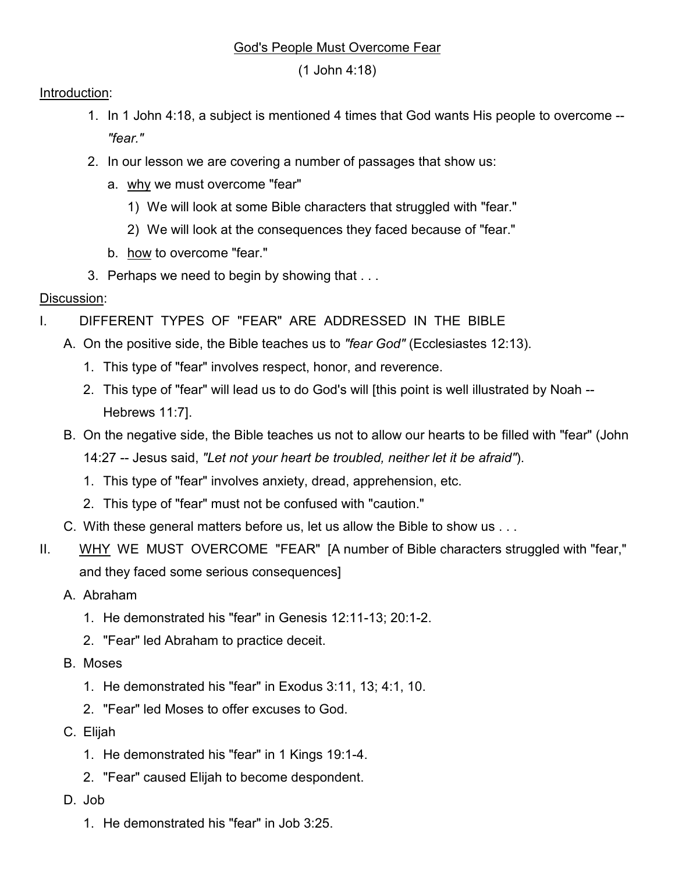#### God's People Must Overcome Fear

(1 John 4:18)

#### Introduction:

- 1. In 1 John 4:18, a subject is mentioned 4 times that God wants His people to overcome -- *"fear."*
- 2. In our lesson we are covering a number of passages that show us:
	- a. why we must overcome "fear"
		- 1) We will look at some Bible characters that struggled with "fear."
		- 2) We will look at the consequences they faced because of "fear."
	- b. how to overcome "fear."
- 3. Perhaps we need to begin by showing that . . .

# Discussion:

- I. DIFFERENT TYPES OF "FEAR" ARE ADDRESSED IN THE BIBLE
	- A. On the positive side, the Bible teaches us to *"fear God"* (Ecclesiastes 12:13).
		- 1. This type of "fear" involves respect, honor, and reverence.
		- 2. This type of "fear" will lead us to do God's will [this point is well illustrated by Noah -- Hebrews 11:7].
	- B. On the negative side, the Bible teaches us not to allow our hearts to be filled with "fear" (John 14:27 -- Jesus said, *"Let not your heart be troubled, neither let it be afraid"*).
		- 1. This type of "fear" involves anxiety, dread, apprehension, etc.
		- 2. This type of "fear" must not be confused with "caution."
	- C. With these general matters before us, let us allow the Bible to show us . . .
- II. WHY WE MUST OVERCOME "FEAR" [A number of Bible characters struggled with "fear," and they faced some serious consequences]
	- A. Abraham
		- 1. He demonstrated his "fear" in Genesis 12:11-13; 20:1-2.
		- 2. "Fear" led Abraham to practice deceit.
	- B. Moses
		- 1. He demonstrated his "fear" in Exodus 3:11, 13; 4:1, 10.
		- 2. "Fear" led Moses to offer excuses to God.
	- C. Elijah
		- 1. He demonstrated his "fear" in 1 Kings 19:1-4.
		- 2. "Fear" caused Elijah to become despondent.
	- D. Job
		- 1. He demonstrated his "fear" in Job 3:25.